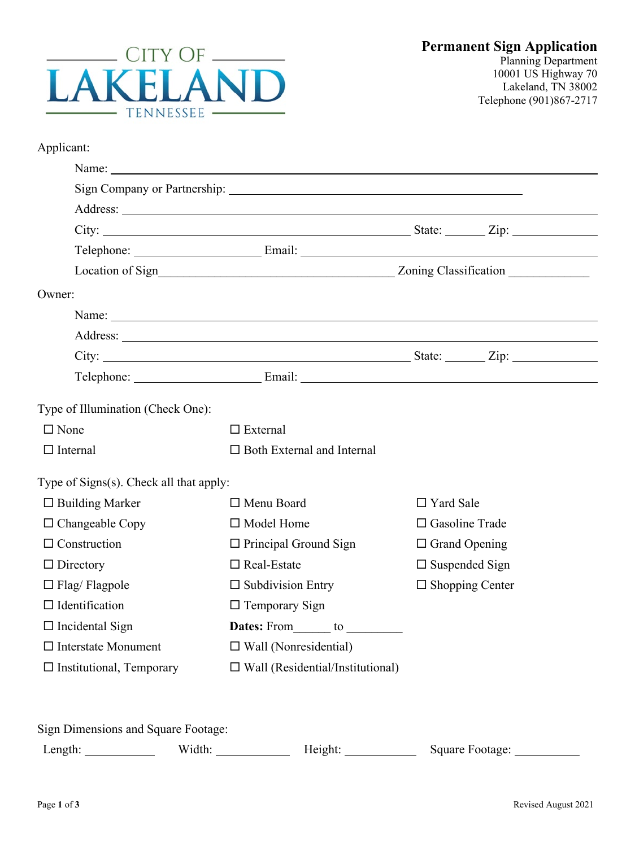

Telephone (901)867-2717

| Applicant:                                 |                                                                                                                                                                                                                                    |                        |  |
|--------------------------------------------|------------------------------------------------------------------------------------------------------------------------------------------------------------------------------------------------------------------------------------|------------------------|--|
|                                            |                                                                                                                                                                                                                                    |                        |  |
|                                            |                                                                                                                                                                                                                                    |                        |  |
|                                            |                                                                                                                                                                                                                                    |                        |  |
|                                            |                                                                                                                                                                                                                                    |                        |  |
|                                            |                                                                                                                                                                                                                                    |                        |  |
|                                            | Location of Sign<br>Location of Sign<br>Location Classification Location Classification Location Classification Location Classification Location Classification Location Classification Location Classification Location Classific |                        |  |
| Owner:                                     |                                                                                                                                                                                                                                    |                        |  |
|                                            |                                                                                                                                                                                                                                    |                        |  |
|                                            |                                                                                                                                                                                                                                    |                        |  |
|                                            | City: $\frac{1}{2}$ State: $\frac{1}{2}$ Zip:                                                                                                                                                                                      |                        |  |
|                                            |                                                                                                                                                                                                                                    |                        |  |
| Type of Illumination (Check One):          |                                                                                                                                                                                                                                    |                        |  |
| $\Box$ None                                | $\Box$ External                                                                                                                                                                                                                    |                        |  |
| $\Box$ Internal                            | $\Box$ Both External and Internal                                                                                                                                                                                                  |                        |  |
| Type of $Signs(s)$ . Check all that apply: |                                                                                                                                                                                                                                    |                        |  |
| $\Box$ Building Marker                     | $\Box$ Menu Board                                                                                                                                                                                                                  | $\Box$ Yard Sale       |  |
| $\Box$ Changeable Copy                     | $\Box$ Model Home                                                                                                                                                                                                                  | $\Box$ Gasoline Trade  |  |
| $\Box$ Construction                        | $\Box$ Principal Ground Sign                                                                                                                                                                                                       | $\Box$ Grand Opening   |  |
| $\Box$ Directory                           | $\Box$ Real-Estate                                                                                                                                                                                                                 | $\Box$ Suspended Sign  |  |
| $\Box$ Flag/ Flagpole                      | $\Box$ Subdivision Entry                                                                                                                                                                                                           | $\Box$ Shopping Center |  |
| $\Box$ Identification                      | $\Box$ Temporary Sign                                                                                                                                                                                                              |                        |  |
| $\Box$ Incidental Sign                     |                                                                                                                                                                                                                                    |                        |  |
| $\Box$ Interstate Monument                 | $\Box$ Wall (Nonresidential)                                                                                                                                                                                                       |                        |  |
| $\Box$ Institutional, Temporary            | $\Box$ Wall (Residential/Institutional)                                                                                                                                                                                            |                        |  |

Sign Dimensions and Square Footage:

| Length: | 'idth. | -leight. | Square<br>Footage: |
|---------|--------|----------|--------------------|
|         |        |          |                    |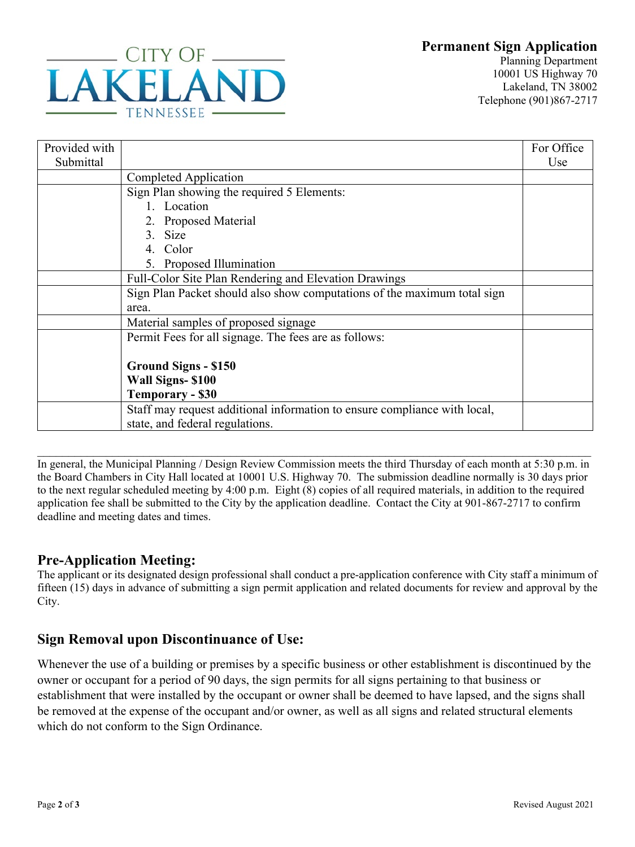## **Permanent Sign Application**



Planning Department 10001 US Highway 70 Lakeland, TN 38002 Telephone (901)867-2717

| Provided with<br>Submittal |                                                                           | For Office<br>Use |
|----------------------------|---------------------------------------------------------------------------|-------------------|
|                            | Completed Application                                                     |                   |
|                            | Sign Plan showing the required 5 Elements:                                |                   |
|                            | 1. Location                                                               |                   |
|                            | 2. Proposed Material                                                      |                   |
|                            | 3. Size                                                                   |                   |
|                            | 4. Color                                                                  |                   |
|                            | 5. Proposed Illumination                                                  |                   |
|                            | Full-Color Site Plan Rendering and Elevation Drawings                     |                   |
|                            | Sign Plan Packet should also show computations of the maximum total sign  |                   |
|                            | area.                                                                     |                   |
|                            | Material samples of proposed signage                                      |                   |
|                            | Permit Fees for all signage. The fees are as follows:                     |                   |
|                            |                                                                           |                   |
|                            | <b>Ground Signs - \$150</b>                                               |                   |
|                            | <b>Wall Signs-S100</b>                                                    |                   |
|                            | <b>Temporary - \$30</b>                                                   |                   |
|                            | Staff may request additional information to ensure compliance with local, |                   |
|                            | state, and federal regulations.                                           |                   |

\_\_\_\_\_\_\_\_\_\_\_\_\_\_\_\_\_\_\_\_\_\_\_\_\_\_\_\_\_\_\_\_\_\_\_\_\_\_\_\_\_\_\_\_\_\_\_\_\_\_\_\_\_\_\_\_\_\_\_\_\_\_\_\_\_\_\_\_\_\_\_\_\_\_\_\_\_\_\_\_\_\_\_\_\_\_\_\_\_ In general, the Municipal Planning / Design Review Commission meets the third Thursday of each month at 5:30 p.m. in the Board Chambers in City Hall located at 10001 U.S. Highway 70. The submission deadline normally is 30 days prior to the next regular scheduled meeting by 4:00 p.m. Eight (8) copies of all required materials, in addition to the required application fee shall be submitted to the City by the application deadline. Contact the City at 901-867-2717 to confirm deadline and meeting dates and times.

### **Pre-Application Meeting:**

The applicant or its designated design professional shall conduct a pre-application conference with City staff a minimum of fifteen (15) days in advance of submitting a sign permit application and related documents for review and approval by the City.

### **Sign Removal upon Discontinuance of Use:**

Whenever the use of a building or premises by a specific business or other establishment is discontinued by the owner or occupant for a period of 90 days, the sign permits for all signs pertaining to that business or establishment that were installed by the occupant or owner shall be deemed to have lapsed, and the signs shall be removed at the expense of the occupant and/or owner, as well as all signs and related structural elements which do not conform to the Sign Ordinance.